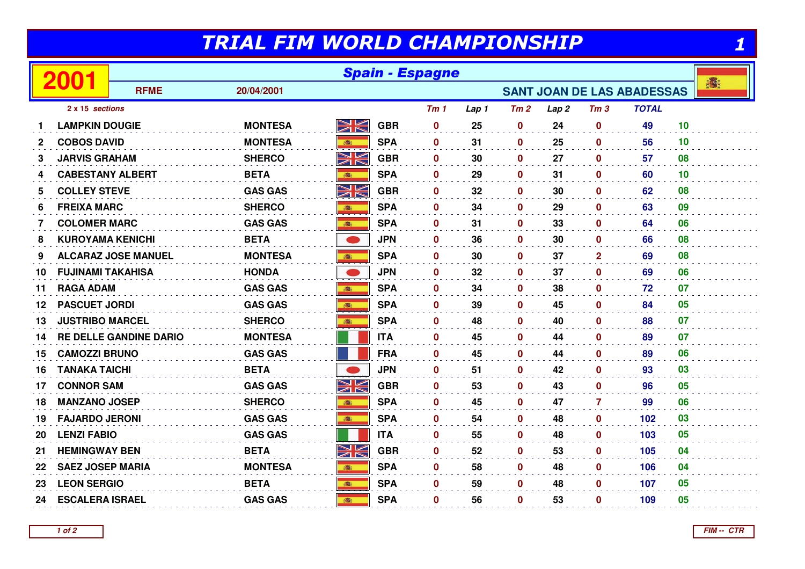## TRIAL FIM WORLD CHAMPIONSHIP

| TRIAL FIM WORLD CHAMPIONSHIP |                          |                               |                |      |            |                 |       |             |                  |                 |                                   |    |   |  |  |  |  |
|------------------------------|--------------------------|-------------------------------|----------------|------|------------|-----------------|-------|-------------|------------------|-----------------|-----------------------------------|----|---|--|--|--|--|
| 2001                         |                          | <b>Spain - Espagne</b>        |                |      |            |                 |       |             |                  |                 |                                   |    |   |  |  |  |  |
|                              |                          | <b>RFME</b>                   | 20/04/2001     |      |            |                 |       |             |                  |                 | <b>SANT JOAN DE LAS ABADESSAS</b> |    | 濟 |  |  |  |  |
|                              | 2 x 15 sections          |                               |                |      |            | Tm <sub>1</sub> | Lap 1 | Tm2         | Lap <sub>2</sub> | Tm <sub>3</sub> | <b>TOTAL</b>                      |    |   |  |  |  |  |
| 1.                           | <b>LAMPKIN DOUGIE</b>    |                               | <b>MONTESA</b> | WK   | <b>GBR</b> | $\bf{0}$        | 25    | $\mathbf 0$ | 24               | $\mathbf 0$     | 49                                | 10 |   |  |  |  |  |
| $\mathbf{2}$                 | <b>COBOS DAVID</b>       |                               | <b>MONTESA</b> | 1    | <b>SPA</b> | $\mathbf 0$     | 31    | $\mathbf 0$ | 25               | $\mathbf{0}$    | 56                                | 10 |   |  |  |  |  |
| 3                            | JARVIS GRAHAM            |                               | <b>SHERCO</b>  | NK   | <b>GBR</b> | $\mathbf{0}$    | 30    | 0           | 27               | $\mathbf{0}$    | 57                                | 08 |   |  |  |  |  |
| 4                            | <b>CABESTANY ALBERT</b>  |                               | <b>BETA</b>    | 瓣    | <b>SPA</b> | $\mathbf{0}$    | 29    | 0           | 31               | $\mathbf{0}$    | 60                                | 10 |   |  |  |  |  |
| 5                            | <b>COLLEY STEVE</b>      |                               | <b>GAS GAS</b> | NK   | <b>GBR</b> | $\mathbf{0}$    | 32    | 0           | 30               | $\mathbf{0}$    | 62                                | 08 |   |  |  |  |  |
| 6                            | <b>FREIXA MARC</b>       |                               | <b>SHERCO</b>  | 高    | <b>SPA</b> | $\mathbf{0}$    | 34    | 0           | 29               | $\mathbf{0}$    | 63                                | 09 |   |  |  |  |  |
| 7                            | <b>COLOMER MARC</b>      |                               | <b>GAS GAS</b> | 高    | <b>SPA</b> | $\mathbf 0$     | 31    | 0           | 33               | $\mathbf 0$     | 64                                | 06 |   |  |  |  |  |
| 8                            | <b>KUROYAMA KENICHI</b>  |                               | <b>BETA</b>    |      | <b>JPN</b> | $\mathbf 0$     | 36    | $\bf{0}$    | 30               | $\mathbf 0$     | 66                                | 08 |   |  |  |  |  |
| 9                            |                          | <b>ALCARAZ JOSE MANUEL</b>    | <b>MONTESA</b> | ● 諸語 | <b>SPA</b> | $\mathbf{0}$    | 30    | 0           | 37               | $\mathbf{2}$    | 69                                | 08 |   |  |  |  |  |
| 10                           | <b>FUJINAMI TAKAHISA</b> |                               | <b>HONDA</b>   |      | <b>JPN</b> | $\mathbf{0}$    | 32    | 0           | 37               | $\mathbf{0}$    | 69                                | 06 |   |  |  |  |  |
| 11                           | <b>RAGA ADAM</b>         |                               | <b>GAS GAS</b> | 高    | <b>SPA</b> | $\mathbf{0}$    | 34    | $\bf{0}$    | 38               | $\bf{0}$        | 72                                | 07 |   |  |  |  |  |
| 12                           | <b>PASCUET JORDI</b>     |                               | <b>GAS GAS</b> |      | <b>SPA</b> | $\mathbf{0}$    | 39    | $\bf{0}$    | 45               | $\mathbf{0}$    | 84                                | 05 |   |  |  |  |  |
| 13                           | <b>JUSTRIBO MARCEL</b>   |                               | <b>SHERCO</b>  | ●    | <b>SPA</b> | $\mathbf 0$     | 48    | 0           | 40               | $\mathbf 0$     | 88                                | 07 |   |  |  |  |  |
| 14                           |                          | <b>RE DELLE GANDINE DARIO</b> | <b>MONTESA</b> |      | <b>ITA</b> | $\bf{0}$        | 45    | 0           | 44               | $\mathbf{0}$    | 89                                | 07 |   |  |  |  |  |
| 15                           | <b>CAMOZZI BRUNO</b>     |                               | <b>GAS GAS</b> |      | <b>FRA</b> | $\mathbf 0$     | 45    | 0           | 44               | $\mathbf 0$     | 89                                | 06 |   |  |  |  |  |
| 16                           | <b>TANAKA TAICHI</b>     |                               | <b>BETA</b>    |      | <b>JPN</b> | $\mathbf 0$     | 51    | 0           | 42               | $\mathbf 0$     | 93                                | 03 |   |  |  |  |  |
| 17                           | <b>CONNOR SAM</b>        |                               | <b>GAS GAS</b> | XK   | <b>GBR</b> | $\mathbf 0$     | 53    | 0           | 43               | $\mathbf{0}$    | 96                                | 05 |   |  |  |  |  |
| 18                           | <b>MANZANO JOSEP</b>     |                               | <b>SHERCO</b>  | 游    | <b>SPA</b> | $\mathbf{0}$    | 45    | $\bf{0}$    | 47               | 7               | 99                                | 06 |   |  |  |  |  |
| 19                           | <b>FAJARDO JERONI</b>    |                               | <b>GAS GAS</b> |      | <b>SPA</b> | $\mathbf 0$     | 54    | 0           | 48               | $\mathbf 0$     | 102                               | 03 |   |  |  |  |  |
| 20                           | <b>LENZI FABIO</b>       |                               | <b>GAS GAS</b> |      | <b>ITA</b> | $\mathbf 0$     | 55    | 0           | 48               | $\mathbf 0$     | 103                               | 05 |   |  |  |  |  |
| 21                           | <b>HEMINGWAY BEN</b>     |                               | <b>BETA</b>    | XK   | <b>GBR</b> | $\mathbf{0}$    | 52    | 0           | 53               | $\mathbf{0}$    | 105                               | 04 |   |  |  |  |  |
| 22                           | <b>SAEZ JOSEP MARIA</b>  |                               | <b>MONTESA</b> | 高    | <b>SPA</b> | $\mathbf 0$     | 58    | 0           | 48               | $\mathbf 0$     | 106                               | 04 |   |  |  |  |  |
| 23                           | <b>LEON SERGIO</b>       |                               | <b>BETA</b>    | 高    | <b>SPA</b> | $\mathbf 0$     | 59    | 0           | 48               | $\mathbf 0$     | 107                               | 05 |   |  |  |  |  |
| 24                           | <b>ESCALERA ISRAEL</b>   |                               | <b>GAS GAS</b> | ●    | <b>SPA</b> | 0               | 56    | 0           | 53               | $\bf{0}$        | 109                               | 05 |   |  |  |  |  |
|                              |                          |                               |                |      |            |                 |       |             |                  |                 |                                   |    |   |  |  |  |  |

**FIM -- CTR**